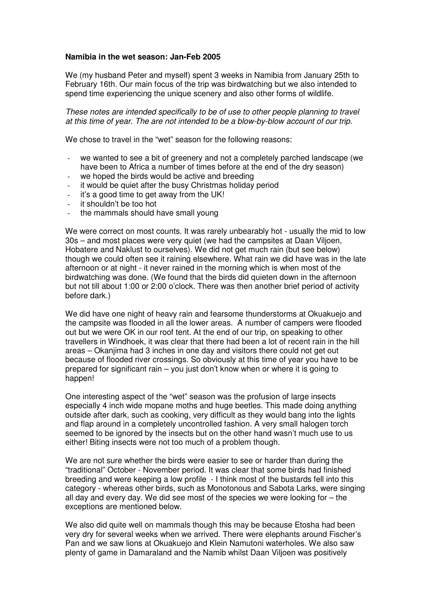## **Namibia in the wet season: Jan-Feb 2005**

We (my husband Peter and myself) spent 3 weeks in Namibia from January 25th to February 16th. Our main focus of the trip was birdwatching but we also intended to spend time experiencing the unique scenery and also other forms of wildlife.

These notes are intended specifically to be of use to other people planning to travel at this time of year. The are not intended to be a blow-by-blow account of our trip.

We chose to travel in the "wet" season for the following reasons:

- we wanted to see a bit of greenery and not a completely parched landscape (we have been to Africa a number of times before at the end of the dry season)
- we hoped the birds would be active and breeding
- it would be quiet after the busy Christmas holiday period
- it's a good time to get away from the UK!
- it shouldn't be too hot
- the mammals should have small young

We were correct on most counts. It was rarely unbearably hot - usually the mid to low 30s – and most places were very quiet (we had the campsites at Daan Viljoen, Hobatere and Naklust to ourselves). We did not get much rain (but see below) though we could often see it raining elsewhere. What rain we did have was in the late afternoon or at night - it never rained in the morning which is when most of the birdwatching was done. (We found that the birds did quieten down in the afternoon but not till about 1:00 or 2:00 o'clock. There was then another brief period of activity before dark.)

We did have one night of heavy rain and fearsome thunderstorms at Okuakuejo and the campsite was flooded in all the lower areas. A number of campers were flooded out but we were OK in our roof tent. At the end of our trip, on speaking to other travellers in Windhoek, it was clear that there had been a lot of recent rain in the hill areas – Okanjima had 3 inches in one day and visitors there could not get out because of flooded river crossings. So obviously at this time of year you have to be prepared for significant rain – you just don't know when or where it is going to happen!

One interesting aspect of the "wet" season was the profusion of large insects especially 4 inch wide mopane moths and huge beetles. This made doing anything outside after dark, such as cooking, very difficult as they would bang into the lights and flap around in a completely uncontrolled fashion. A very small halogen torch seemed to be ignored by the insects but on the other hand wasn't much use to us either! Biting insects were not too much of a problem though.

We are not sure whether the birds were easier to see or harder than during the "traditional" October - November period. It was clear that some birds had finished breeding and were keeping a low profile - I think most of the bustards fell into this category - whereas other birds, such as Monotonous and Sabota Larks, were singing all day and every day. We did see most of the species we were looking for  $-$  the exceptions are mentioned below.

We also did quite well on mammals though this may be because Etosha had been very dry for several weeks when we arrived. There were elephants around Fischer's Pan and we saw lions at Okuakuejo and Klein Namutoni waterholes. We also saw plenty of game in Damaraland and the Namib whilst Daan Viljoen was positively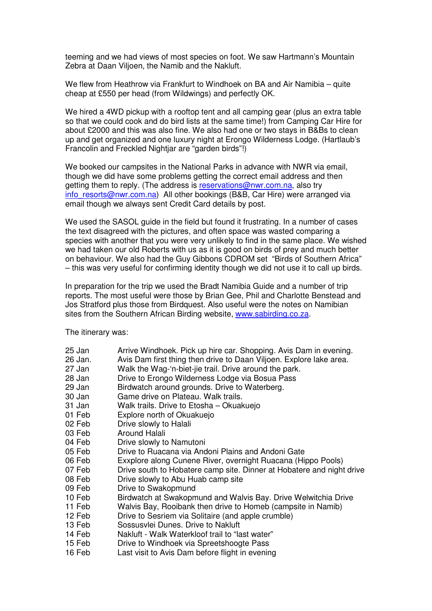teeming and we had views of most species on foot. We saw Hartmann's Mountain Zebra at Daan Viljoen, the Namib and the Nakluft.

We flew from Heathrow via Frankfurt to Windhoek on BA and Air Namibia – quite cheap at £550 per head (from Wildwings) and perfectly OK.

We hired a 4WD pickup with a rooftop tent and all camping gear (plus an extra table so that we could cook and do bird lists at the same time!) from Camping Car Hire for about £2000 and this was also fine. We also had one or two stays in B&Bs to clean up and get organized and one luxury night at Erongo Wilderness Lodge. (Hartlaub's Francolin and Freckled Nightjar are "garden birds"!)

We booked our campsites in the National Parks in advance with NWR via email, though we did have some problems getting the correct email address and then getting them to reply. (The address is reservations@nwr.com.na, also try info\_resorts@nwr.com.na) All other bookings (B&B, Car Hire) were arranged via email though we always sent Credit Card details by post.

We used the SASOL guide in the field but found it frustrating. In a number of cases the text disagreed with the pictures, and often space was wasted comparing a species with another that you were very unlikely to find in the same place. We wished we had taken our old Roberts with us as it is good on birds of prey and much better on behaviour. We also had the Guy Gibbons CDROM set "Birds of Southern Africa" – this was very useful for confirming identity though we did not use it to call up birds.

In preparation for the trip we used the Bradt Namibia Guide and a number of trip reports. The most useful were those by Brian Gee, Phil and Charlotte Benstead and Jos Stratford plus those from Birdquest. Also useful were the notes on Namibian sites from the Southern African Birding website, www.sabirding.co.za.

The itinerary was:

| 25 Jan |  | Arrive Windhoek. Pick up hire car. Shopping. Avis Dam in evening. |
|--------|--|-------------------------------------------------------------------|
|        |  |                                                                   |

- 26 Jan. Avis Dam first thing then drive to Daan Viljoen. Explore lake area.
- 27 Jan Walk the Wag-'n-biet-jie trail. Drive around the park.<br>28 Jan Drive to Erongo Wilderness Lodge via Bosua Pass
- Drive to Erongo Wilderness Lodge via Bosua Pass
- 29 Jan Birdwatch around grounds. Drive to Waterberg.
- 30 Jan Game drive on Plateau. Walk trails.
- 31 Jan Walk trails. Drive to Etosha Okuakuejo
- 01 Feb Explore north of Okuakuejo
- 02 Feb Drive slowly to Halali<br>03 Feb Around Halali
- **Around Halali**
- 04 Feb Drive slowly to Namutoni<br>05 Feb Drive to Ruacana via And
- Drive to Ruacana via Andoni Plains and Andoni Gate
- 06 Feb Exxplore along Cunene River, overnight Ruacana (Hippo Pools)
- 07 Feb Drive south to Hobatere camp site. Dinner at Hobatere and night drive
- 08 Feb Drive slowly to Abu Huab camp site<br>09 Feb Drive to Swakopmund
- Drive to Swakopmund
- 10 Feb Birdwatch at Swakopmund and Walvis Bay. Drive Welwitchia Drive
- 11 Feb Walvis Bay, Rooibank then drive to Homeb (campsite in Namib)
- 12 Feb Drive to Sesriem via Solitaire (and apple crumble)
- 13 Feb Sossusvlei Dunes. Drive to Nakluft
- 14 Feb Nakluft Walk Waterkloof trail to "last water"
- 15 Feb Drive to Windhoek via Spreetshoogte Pass
- 16 Feb Last visit to Avis Dam before flight in evening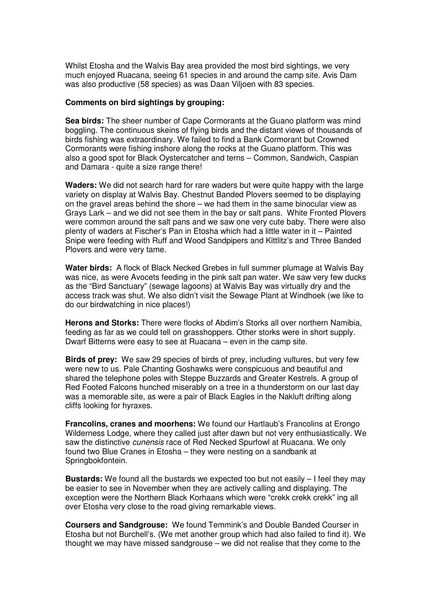Whilst Etosha and the Walvis Bay area provided the most bird sightings, we very much enjoyed Ruacana, seeing 61 species in and around the camp site. Avis Dam was also productive (58 species) as was Daan Viljoen with 83 species.

## **Comments on bird sightings by grouping:**

**Sea birds:** The sheer number of Cape Cormorants at the Guano platform was mind boggling. The continuous skeins of flying birds and the distant views of thousands of birds fishing was extraordinary. We failed to find a Bank Cormorant but Crowned Cormorants were fishing inshore along the rocks at the Guano platform. This was also a good spot for Black Oystercatcher and terns – Common, Sandwich, Caspian and Damara - quite a size range there!

**Waders:** We did not search hard for rare waders but were quite happy with the large variety on display at Walvis Bay. Chestnut Banded Plovers seemed to be displaying on the gravel areas behind the shore – we had them in the same binocular view as Grays Lark – and we did not see them in the bay or salt pans. White Fronted Plovers were common around the salt pans and we saw one very cute baby. There were also plenty of waders at Fischer's Pan in Etosha which had a little water in it – Painted Snipe were feeding with Ruff and Wood Sandpipers and Kittlitz's and Three Banded Plovers and were very tame.

**Water birds:** A flock of Black Necked Grebes in full summer plumage at Walvis Bay was nice, as were Avocets feeding in the pink salt pan water. We saw very few ducks as the "Bird Sanctuary" (sewage lagoons) at Walvis Bay was virtually dry and the access track was shut. We also didn't visit the Sewage Plant at Windhoek (we like to do our birdwatching in nice places!)

**Herons and Storks:** There were flocks of Abdim's Storks all over northern Namibia, feeding as far as we could tell on grasshoppers. Other storks were in short supply. Dwarf Bitterns were easy to see at Ruacana – even in the camp site.

**Birds of prey:** We saw 29 species of birds of prey, including vultures, but very few were new to us. Pale Chanting Goshawks were conspicuous and beautiful and shared the telephone poles with Steppe Buzzards and Greater Kestrels. A group of Red Footed Falcons hunched miserably on a tree in a thunderstorm on our last day was a memorable site, as were a pair of Black Eagles in the Nakluft drifting along cliffs looking for hyraxes.

**Francolins, cranes and moorhens:** We found our Hartlaub's Francolins at Erongo Wilderness Lodge, where they called just after dawn but not very enthusiastically. We saw the distinctive cunensis race of Red Necked Spurfowl at Ruacana. We only found two Blue Cranes in Etosha – they were nesting on a sandbank at Springbokfontein.

**Bustards:** We found all the bustards we expected too but not easily – I feel they may be easier to see in November when they are actively calling and displaying. The exception were the Northern Black Korhaans which were "crekk crekk crekk" ing all over Etosha very close to the road giving remarkable views.

**Coursers and Sandgrouse:** We found Temmink's and Double Banded Courser in Etosha but not Burchell's. (We met another group which had also failed to find it). We thought we may have missed sandgrouse – we did not realise that they come to the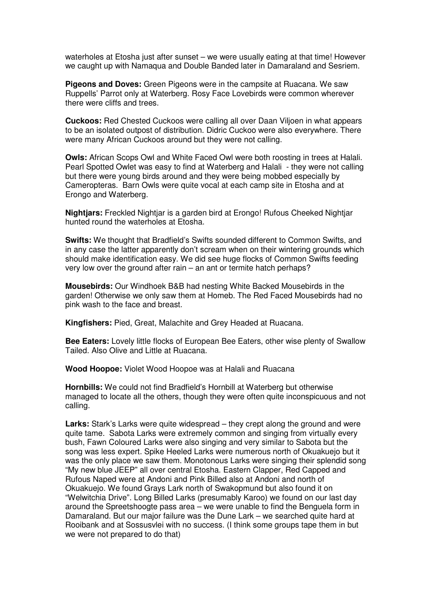waterholes at Etosha just after sunset – we were usually eating at that time! However we caught up with Namaqua and Double Banded later in Damaraland and Sesriem.

**Pigeons and Doves:** Green Pigeons were in the campsite at Ruacana. We saw Ruppells' Parrot only at Waterberg. Rosy Face Lovebirds were common wherever there were cliffs and trees.

**Cuckoos:** Red Chested Cuckoos were calling all over Daan Viljoen in what appears to be an isolated outpost of distribution. Didric Cuckoo were also everywhere. There were many African Cuckoos around but they were not calling.

**Owls:** African Scops Owl and White Faced Owl were both roosting in trees at Halali. Pearl Spotted Owlet was easy to find at Waterberg and Halali - they were not calling but there were young birds around and they were being mobbed especially by Cameropteras. Barn Owls were quite vocal at each camp site in Etosha and at Erongo and Waterberg.

**Nightjars:** Freckled Nightjar is a garden bird at Erongo! Rufous Cheeked Nightjar hunted round the waterholes at Etosha.

**Swifts:** We thought that Bradfield's Swifts sounded different to Common Swifts, and in any case the latter apparently don't scream when on their wintering grounds which should make identification easy. We did see huge flocks of Common Swifts feeding very low over the ground after rain – an ant or termite hatch perhaps?

**Mousebirds:** Our Windhoek B&B had nesting White Backed Mousebirds in the garden! Otherwise we only saw them at Homeb. The Red Faced Mousebirds had no pink wash to the face and breast.

**Kingfishers:** Pied, Great, Malachite and Grey Headed at Ruacana.

**Bee Eaters:** Lovely little flocks of European Bee Eaters, other wise plenty of Swallow Tailed. Also Olive and Little at Ruacana.

**Wood Hoopoe:** Violet Wood Hoopoe was at Halali and Ruacana

**Hornbills:** We could not find Bradfield's Hornbill at Waterberg but otherwise managed to locate all the others, though they were often quite inconspicuous and not calling.

Larks: Stark's Larks were quite widespread – they crept along the ground and were quite tame. Sabota Larks were extremely common and singing from virtually every bush, Fawn Coloured Larks were also singing and very similar to Sabota but the song was less expert. Spike Heeled Larks were numerous north of Okuakuejo but it was the only place we saw them. Monotonous Larks were singing their splendid song "My new blue JEEP" all over central Etosha. Eastern Clapper, Red Capped and Rufous Naped were at Andoni and Pink Billed also at Andoni and north of Okuakuejo. We found Grays Lark north of Swakopmund but also found it on "Welwitchia Drive". Long Billed Larks (presumably Karoo) we found on our last day around the Spreetshoogte pass area – we were unable to find the Benguela form in Damaraland. But our major failure was the Dune Lark – we searched quite hard at Rooibank and at Sossusvlei with no success. (I think some groups tape them in but we were not prepared to do that)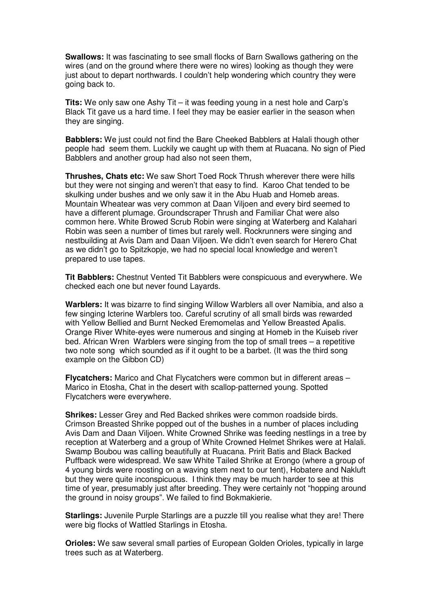**Swallows:** It was fascinating to see small flocks of Barn Swallows gathering on the wires (and on the ground where there were no wires) looking as though they were just about to depart northwards. I couldn't help wondering which country they were going back to.

**Tits:** We only saw one Ashy Tit – it was feeding young in a nest hole and Carp's Black Tit gave us a hard time. I feel they may be easier earlier in the season when they are singing.

**Babblers:** We just could not find the Bare Cheeked Babblers at Halali though other people had seem them. Luckily we caught up with them at Ruacana. No sign of Pied Babblers and another group had also not seen them,

**Thrushes, Chats etc:** We saw Short Toed Rock Thrush wherever there were hills but they were not singing and weren't that easy to find. Karoo Chat tended to be skulking under bushes and we only saw it in the Abu Huab and Homeb areas. Mountain Wheatear was very common at Daan Viljoen and every bird seemed to have a different plumage. Groundscraper Thrush and Familiar Chat were also common here. White Browed Scrub Robin were singing at Waterberg and Kalahari Robin was seen a number of times but rarely well. Rockrunners were singing and nestbuilding at Avis Dam and Daan Viljoen. We didn't even search for Herero Chat as we didn't go to Spitzkopje, we had no special local knowledge and weren't prepared to use tapes.

**Tit Babblers:** Chestnut Vented Tit Babblers were conspicuous and everywhere. We checked each one but never found Layards.

**Warblers:** It was bizarre to find singing Willow Warblers all over Namibia, and also a few singing Icterine Warblers too. Careful scrutiny of all small birds was rewarded with Yellow Bellied and Burnt Necked Eremomelas and Yellow Breasted Apalis. Orange River White-eyes were numerous and singing at Homeb in the Kuiseb river bed. African Wren Warblers were singing from the top of small trees – a repetitive two note song which sounded as if it ought to be a barbet. (It was the third song example on the Gibbon CD)

**Flycatchers:** Marico and Chat Flycatchers were common but in different areas – Marico in Etosha, Chat in the desert with scallop-patterned young. Spotted Flycatchers were everywhere.

**Shrikes:** Lesser Grey and Red Backed shrikes were common roadside birds. Crimson Breasted Shrike popped out of the bushes in a number of places including Avis Dam and Daan Viljoen. White Crowned Shrike was feeding nestlings in a tree by reception at Waterberg and a group of White Crowned Helmet Shrikes were at Halali. Swamp Boubou was calling beautifully at Ruacana. Pririt Batis and Black Backed Puffback were widespread. We saw White Tailed Shrike at Erongo (where a group of 4 young birds were roosting on a waving stem next to our tent), Hobatere and Nakluft but they were quite inconspicuous. I think they may be much harder to see at this time of year, presumably just after breeding. They were certainly not "hopping around the ground in noisy groups". We failed to find Bokmakierie.

**Starlings:** Juvenile Purple Starlings are a puzzle till you realise what they are! There were big flocks of Wattled Starlings in Etosha.

**Orioles:** We saw several small parties of European Golden Orioles, typically in large trees such as at Waterberg.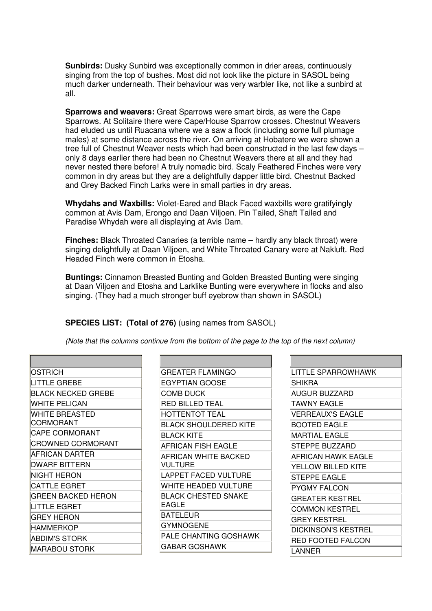**Sunbirds:** Dusky Sunbird was exceptionally common in drier areas, continuously singing from the top of bushes. Most did not look like the picture in SASOL being much darker underneath. Their behaviour was very warbler like, not like a sunbird at all.

**Sparrows and weavers:** Great Sparrows were smart birds, as were the Cape Sparrows. At Solitaire there were Cape/House Sparrow crosses. Chestnut Weavers had eluded us until Ruacana where we a saw a flock (including some full plumage males) at some distance across the river. On arriving at Hobatere we were shown a tree full of Chestnut Weaver nests which had been constructed in the last few days – only 8 days earlier there had been no Chestnut Weavers there at all and they had never nested there before! A truly nomadic bird. Scaly Feathered Finches were very common in dry areas but they are a delightfully dapper little bird. Chestnut Backed and Grey Backed Finch Larks were in small parties in dry areas.

**Whydahs and Waxbills:** Violet-Eared and Black Faced waxbills were gratifyingly common at Avis Dam, Erongo and Daan Viljoen. Pin Tailed, Shaft Tailed and Paradise Whydah were all displaying at Avis Dam.

**Finches:** Black Throated Canaries (a terrible name – hardly any black throat) were singing delightfully at Daan Viljoen, and White Throated Canary were at Nakluft. Red Headed Finch were common in Etosha.

**Buntings:** Cinnamon Breasted Bunting and Golden Breasted Bunting were singing at Daan Viljoen and Etosha and Larklike Bunting were everywhere in flocks and also singing. (They had a much stronger buff eyebrow than shown in SASOL)

## **SPECIES LIST: (Total of 276)** (using names from SASOL)

(Note that the columns continue from the bottom of the page to the top of the next column)

| OSTRICH                            |
|------------------------------------|
| LITTLE GREBE                       |
| <b>BLACK NECKED GREBE</b>          |
| <b>WHITE PELICAN</b>               |
| <b>WHITE BREASTED</b><br>CORMORANT |
| <b>CAPE CORMORANT</b>              |
| CROWNED CORMORANT                  |
| AFRICAN DARTER                     |
| <b>DWARF BITTERN</b>               |
| NIGHT HERON                        |
| <b>CATTLE EGRET</b>                |
| <b>GREEN BACKED HERON</b>          |
| LITTLE EGRET                       |
| <b>GREY HERON</b>                  |
| <b>HAMMERKOP</b>                   |
| <b>ABDIM'S STORK</b>               |
| MARABOU STORK                      |

| GREATER FLAMINGO           |
|----------------------------|
| EGYPTIAN GOOSE             |
| <b>COMB DUCK</b>           |
| RED BILLED TEAL            |
| HOTTENTOT TEAL             |
| BLACK SHOULDERED KITE      |
| BLACK KITE                 |
| AFRICAN FISH EAGLE         |
| AFRICAN WHITE BACKED       |
| VULTURE                    |
| LAPPET FACED VULTURE       |
| WHITE HEADED VULTURE       |
| <b>BLACK CHESTED SNAKE</b> |
| EAGLE                      |
| BATELEUR                   |
| GYMNOGENE                  |
| PALE CHANTING GOSHAWK      |
| GABAR GOSHAWK              |
|                            |

| LITTLE SPARROWHAWK      |
|-------------------------|
| SHIKRA                  |
| AUGUR BUZZARD           |
| <b>TAWNY EAGLE</b>      |
| <b>VERREAUX'S EAGLE</b> |
| <b>BOOTED EAGLE</b>     |
| <b>MARTIAL EAGLE</b>    |
| STEPPE BUZZARD          |
| AFRICAN HAWK EAGLE      |
| YELLOW BILLED KITE      |
| <b>STEPPE EAGLE</b>     |
| <b>PYGMY FALCON</b>     |
| <b>GREATER KESTREL</b>  |
| <b>COMMON KESTREL</b>   |
| GREY KESTREL            |
| DICKINSON'S KESTREL     |
| RED FOOTED FALCON       |
| LANNER                  |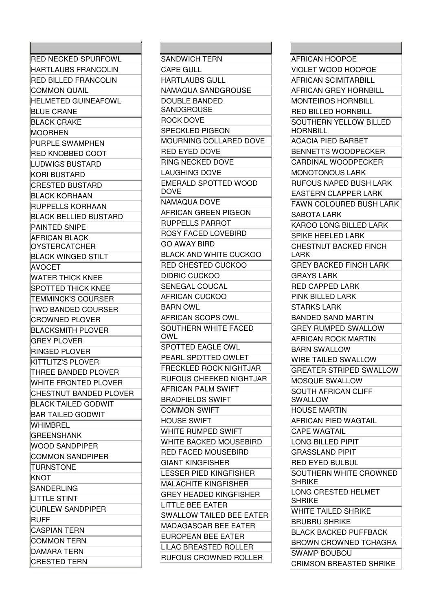SANDWICH TERN CAPE GULL HARTLAUBS GULL NAMAQUA SANDGROUSE DOUBLE BANDED **SANDGROUSE** ROCK DOVE SPECKLED PIGEON MOURNING COLLARED DOVE RED EYED DOVE RING NECKED DOVE LAUGHING DOVE EMERALD SPOTTED WOOD DOVE NAMAQUA DOVE AFRICAN GREEN PIGEON RUPPELLS PARROT ROSY FACED LOVEBIRD GO AWAY BIRD BLACK AND WHITE CUCKOO RED CHESTED CUCKOO DIDRIC CUCKOO SENEGAL COUCAL AFRICAN CUCKOO BARN OWL AFRICAN SCOPS OWL SOUTHERN WHITE FACED OWL SPOTTED EAGLE OWL PEARL SPOTTED OWLET FRECKLED ROCK NIGHTJAR RUFOUS CHEEKED NIGHTJAR AFRICAN PALM SWIFT BRADFIELDS SWIFT COMMON SWIFT HOUSE SWIFT WHITE RUMPED SWIFT WHITE BACKED MOUSEBIRD RED FACED MOUSEBIRD GIANT KINGFISHER LESSER PIED KINGFISHER MALACHITE KINGFISHER GREY HEADED KINGFISHER LITTLE BEE EATER SWALLOW TAILED BEE EATER MADAGASCAR BEE EATER EUROPEAN BEE EATER LILAC BREASTED ROLLER RUFOUS CROWNED ROLLER

AFRICAN HOOPOE VIOLET WOOD HOOPOE AFRICAN SCIMITARBILL AFRICAN GREY HORNBILL MONTEIROS HORNBILL RED BILLED HORNBILL SOUTHERN YELLOW BILLED HORNBILL ACACIA PIED BARBET BENNETTS WOODPECKER CARDINAL WOODPECKER MONOTONOUS LARK RUFOUS NAPED BUSH LARK EASTERN CLAPPER LARK FAWN COLOURED BUSH LARK SABOTA LARK KAROO LONG BILLED LARK SPIKE HEELED LARK CHESTNUT BACKED FINCH LARK GREY BACKED FINCH LARK GRAYS LARK RED CAPPED LARK PINK BILLED LARK STARKS LARK BANDED SAND MARTIN GREY RUMPED SWALLOW AFRICAN ROCK MARTIN BARN SWALLOW WIRE TAILED SWALLOW GREATER STRIPED SWALLOW MOSQUE SWALLOW SOUTH AFRICAN CLIFF SWALLOW HOUSE MARTIN AFRICAN PIED WAGTAIL CAPE WAGTAIL LONG BILLED PIPIT GRASSLAND PIPIT RED EYED BULBUL SOUTHERN WHITE CROWNED SHRIKE LONG CRESTED HELMET SHRIKE WHITE TAILED SHRIKE BRUBRU SHRIKE BLACK BACKED PUFFBACK BROWN CROWNED TCHAGRA SWAMP BOUBOU CRIMSON BREASTED SHRIKE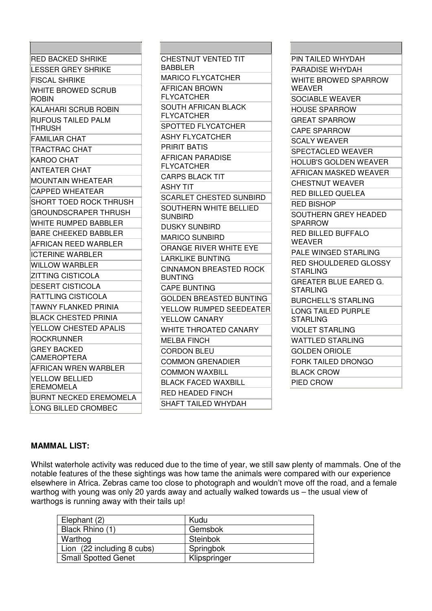| IRED BACKED SHRIKE                          |  |  |  |  |
|---------------------------------------------|--|--|--|--|
| LESSER GREY SHRIKE                          |  |  |  |  |
| FISCAL SHRIKE                               |  |  |  |  |
| <b>WHITE BROWED SCRUB</b>                   |  |  |  |  |
| IROBIN                                      |  |  |  |  |
| KALAHARI SCRUB ROBIN                        |  |  |  |  |
| <b>RUFOUS TAILED PALM</b>                   |  |  |  |  |
| ITHRUSH                                     |  |  |  |  |
| FAMILIAR CHAT                               |  |  |  |  |
| <b>TRACTRAC CHAT</b>                        |  |  |  |  |
| KAROO CHAT                                  |  |  |  |  |
| IANTEATER CHAT                              |  |  |  |  |
| IMOUNTAIN WHEATEAR                          |  |  |  |  |
| ICAPPED WHEATEAR                            |  |  |  |  |
| SHORT TOED ROCK THRUSH                      |  |  |  |  |
| <b>GROUNDSCRAPER THRUSH</b>                 |  |  |  |  |
| IWHITE RUMPED BABBLER                       |  |  |  |  |
| <b>BARE CHEEKED BABBLER</b>                 |  |  |  |  |
| IAFRICAN REED WARBLER                       |  |  |  |  |
| <b>ICTERINE WARBLER</b>                     |  |  |  |  |
| WILLOW WARBLER                              |  |  |  |  |
| <b>ZITTING CISTICOLA</b>                    |  |  |  |  |
| <b>DESERT CISTICOLA</b>                     |  |  |  |  |
| <b>RATTLING CISTICOLA</b>                   |  |  |  |  |
| ITAWNY FLANKED PRINIA                       |  |  |  |  |
| <b>BLACK CHESTED PRINIA</b>                 |  |  |  |  |
| <b>YELLOW CHESTED APALIS</b>                |  |  |  |  |
| ROCKRUNNER                                  |  |  |  |  |
| IGREY BACKED                                |  |  |  |  |
| <b>CAMEROPTERA</b>                          |  |  |  |  |
| AFRICAN WREN WARBLER                        |  |  |  |  |
| YELLOW BELLIED                              |  |  |  |  |
| IEREMOMELA<br><b>BURNT NECKED EREMOMELA</b> |  |  |  |  |
|                                             |  |  |  |  |
| LONG BILLED CROMBEC                         |  |  |  |  |

CHESTNUT VENTED TIT BABBLER MARICO FLYCATCHER AFRICAN BROWN FLYCATCHER SOUTH AFRICAN BLACK FLYCATCHER SPOTTED FLYCATCHER ASHY FLYCATCHER PRIRIT BATIS AFRICAN PARADISE FLYCATCHER CARPS BLACK TIT ASHY TIT SCARLET CHESTED SUNBIRD SOUTHERN WHITE BELLIED **SUNBIRD** DUSKY SUNBIRD MARICO SUNBIRD ORANGE RIVER WHITE EYE LARKLIKE BUNTING CINNAMON BREASTED ROCK BUNTING CAPE BUNTING GOLDEN BREASTED BUNTING YELLOW RUMPED SEEDEATER YELLOW CANARY WHITE THROATED CANARY MELBA FINCH CORDON BLEU COMMON GRENADIER COMMON WAXBILL BLACK FACED WAXBILL RED HEADED FINCH SHAFT TAILED WHYDAH

| PIN TAILED WHYDAH                               |  |  |  |  |
|-------------------------------------------------|--|--|--|--|
| PARADISE WHYDAH                                 |  |  |  |  |
| WHITE BROWED SPARROW                            |  |  |  |  |
| WEAVER                                          |  |  |  |  |
| <b>SOCIABLE WEAVER</b>                          |  |  |  |  |
| <b>HOUSE SPARROW</b>                            |  |  |  |  |
| <b>GREAT SPARROW</b>                            |  |  |  |  |
| <b>CAPE SPARROW</b>                             |  |  |  |  |
| <b>SCALY WEAVER</b>                             |  |  |  |  |
| SPECTACLED WEAVER                               |  |  |  |  |
| <b>HOLUB'S GOLDEN WEAVER</b>                    |  |  |  |  |
| <b>AFRICAN MASKED WEAVER</b>                    |  |  |  |  |
| <b>CHESTNUT WEAVER</b>                          |  |  |  |  |
| RED BILLED QUELEA                               |  |  |  |  |
| <b>RED BISHOP</b>                               |  |  |  |  |
| SOUTHERN GREY HEADED                            |  |  |  |  |
| SPARROW                                         |  |  |  |  |
| RED BILLED BUFFALO                              |  |  |  |  |
| WEAVER                                          |  |  |  |  |
| PALE WINGED STARLING                            |  |  |  |  |
| <b>RED SHOULDERED GLOSSY</b><br><b>STARLING</b> |  |  |  |  |
| <b>GREATER BLUE EARED G.</b>                    |  |  |  |  |
| <b>STARLING</b>                                 |  |  |  |  |
| <b>BURCHELL'S STARLING</b>                      |  |  |  |  |
| <b>LONG TAILED PURPLE</b><br><b>STARLING</b>    |  |  |  |  |
| <b>VIOLET STARLING</b>                          |  |  |  |  |
| <b>WATTLED STARLING</b>                         |  |  |  |  |
| <b>GOLDEN ORIOLE</b>                            |  |  |  |  |
| <b>FORK TAILED DRONGO</b>                       |  |  |  |  |
| <b>BLACK CROW</b>                               |  |  |  |  |
| PIED CROW                                       |  |  |  |  |

## **MAMMAL LIST:**

Whilst waterhole activity was reduced due to the time of year, we still saw plenty of mammals. One of the notable features of the these sightings was how tame the animals were compared with our experience elsewhere in Africa. Zebras came too close to photograph and wouldn't move off the road, and a female warthog with young was only 20 yards away and actually walked towards us – the usual view of warthogs is running away with their tails up!

| Kudu            |
|-----------------|
| Gemsbok         |
| <b>Steinbok</b> |
| Springbok       |
| Klipspringer    |
|                 |